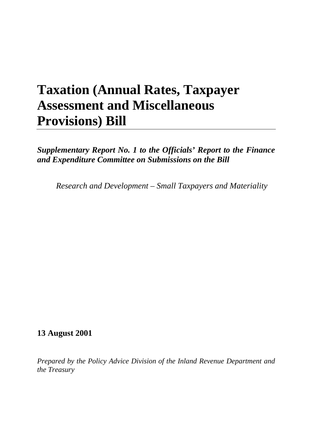# **Taxation (Annual Rates, Taxpayer Assessment and Miscellaneous Provisions) Bill**

*Supplementary Report No. 1 to the Officials' Report to the Finance and Expenditure Committee on Submissions on the Bill*

*Research and Development – Small Taxpayers and Materiality*

# **13 August 2001**

*Prepared by the Policy Advice Division of the Inland Revenue Department and the Treasury*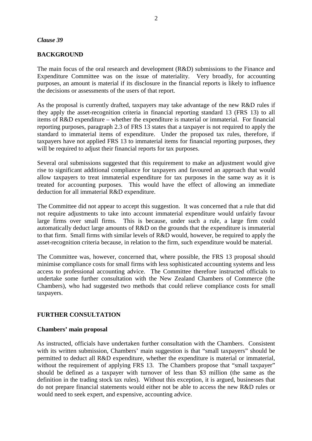#### *Clause 39*

# **BACKGROUND**

The main focus of the oral research and development (R&D) submissions to the Finance and Expenditure Committee was on the issue of materiality. Very broadly, for accounting purposes, an amount is material if its disclosure in the financial reports is likely to influence the decisions or assessments of the users of that report.

As the proposal is currently drafted, taxpayers may take advantage of the new R&D rules if they apply the asset-recognition criteria in financial reporting standard 13 (FRS 13) to all items of R&D expenditure – whether the expenditure is material or immaterial. For financial reporting purposes, paragraph 2.3 of FRS 13 states that a taxpayer is not required to apply the standard to immaterial items of expenditure. Under the proposed tax rules, therefore, if taxpayers have not applied FRS 13 to immaterial items for financial reporting purposes, they will be required to adjust their financial reports for tax purposes.

Several oral submissions suggested that this requirement to make an adjustment would give rise to significant additional compliance for taxpayers and favoured an approach that would allow taxpayers to treat immaterial expenditure for tax purposes in the same way as it is treated for accounting purposes. This would have the effect of allowing an immediate deduction for all immaterial R&D expenditure.

The Committee did not appear to accept this suggestion. It was concerned that a rule that did not require adjustments to take into account immaterial expenditure would unfairly favour large firms over small firms. This is because, under such a rule, a large firm could automatically deduct large amounts of R&D on the grounds that the expenditure is immaterial to that firm. Small firms with similar levels of R&D would, however, be required to apply the asset-recognition criteria because, in relation to the firm, such expenditure would be material.

The Committee was, however, concerned that, where possible, the FRS 13 proposal should minimise compliance costs for small firms with less sophisticated accounting systems and less access to professional accounting advice. The Committee therefore instructed officials to undertake some further consultation with the New Zealand Chambers of Commerce (the Chambers), who had suggested two methods that could relieve compliance costs for small taxpayers.

# **FURTHER CONSULTATION**

#### **Chambers' main proposal**

As instructed, officials have undertaken further consultation with the Chambers. Consistent with its written submission, Chambers' main suggestion is that "small taxpayers" should be permitted to deduct all R&D expenditure, whether the expenditure is material or immaterial, without the requirement of applying FRS 13. The Chambers propose that "small taxpayer" should be defined as a taxpayer with turnover of less than \$3 million (the same as the definition in the trading stock tax rules). Without this exception, it is argued, businesses that do not prepare financial statements would either not be able to access the new R&D rules or would need to seek expert, and expensive, accounting advice.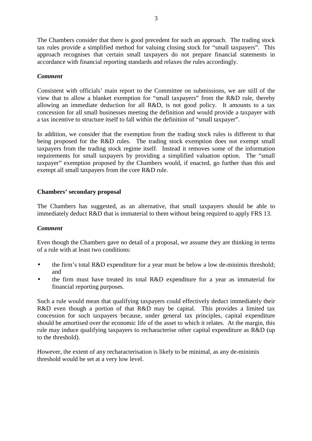The Chambers consider that there is good precedent for such an approach. The trading stock tax rules provide a simplified method for valuing closing stock for "small taxpayers". This approach recognises that certain small taxpayers do not prepare financial statements in accordance with financial reporting standards and relaxes the rules accordingly.

# *Comment*

Consistent with officials' main report to the Committee on submissions, we are still of the view that to allow a blanket exemption for "small taxpayers" from the R&D rule, thereby allowing an immediate deduction for all R&D, is not good policy. It amounts to a tax concession for all small businesses meeting the definition and would provide a taxpayer with a tax incentive to structure itself to fall within the definition of "small taxpayer".

In addition, we consider that the exemption from the trading stock rules is different to that being proposed for the R&D rules. The trading stock exemption does not exempt small taxpayers from the trading stock regime itself. Instead it removes some of the information requirements for small taxpayers by providing a simplified valuation option. The "small taxpayer" exemption proposed by the Chambers would, if enacted, go further than this and exempt all small taxpayers from the core R&D rule.

# **Chambers' secondary proposal**

The Chambers has suggested, as an alternative, that small taxpayers should be able to immediately deduct R&D that is immaterial to them without being required to apply FRS 13.

#### *Comment*

Even though the Chambers gave no detail of a proposal, we assume they are thinking in terms of a rule with at least two conditions:

- the firm's total R&D expenditure for a year must be below a low de-minimis threshold; and
- the firm must have treated its total R&D expenditure for a year as immaterial for financial reporting purposes.

Such a rule would mean that qualifying taxpayers could effectively deduct immediately their R&D even though a portion of that R&D may be capital. This provides a limited tax concession for such taxpayers because, under general tax principles, capital expenditure should be amortised over the economic life of the asset to which it relates. At the margin, this rule may induce qualifying taxpayers to recharacterise other capital expenditure as R&D (up to the threshold).

However, the extent of any recharacterisation is likely to be minimal, as any de-minimis threshold would be set at a very low level.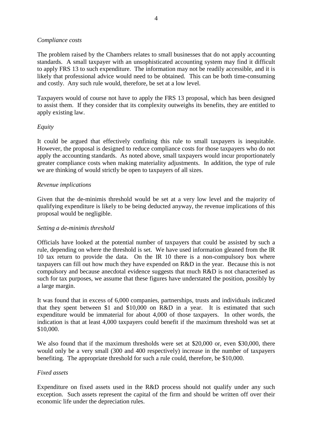#### *Compliance costs*

The problem raised by the Chambers relates to small businesses that do not apply accounting standards. A small taxpayer with an unsophisticated accounting system may find it difficult to apply FRS 13 to such expenditure. The information may not be readily accessible, and it is likely that professional advice would need to be obtained. This can be both time-consuming and costly. Any such rule would, therefore, be set at a low level.

Taxpayers would of course not have to apply the FRS 13 proposal, which has been designed to assist them. If they consider that its complexity outweighs its benefits, they are entitled to apply existing law.

# *Equity*

It could be argued that effectively confining this rule to small taxpayers is inequitable. However, the proposal is designed to reduce compliance costs for those taxpayers who do not apply the accounting standards. As noted above, small taxpayers would incur proportionately greater compliance costs when making materiality adjustments. In addition, the type of rule we are thinking of would strictly be open to taxpayers of all sizes.

#### *Revenue implications*

Given that the de-minimis threshold would be set at a very low level and the majority of qualifying expenditure is likely to be being deducted anyway, the revenue implications of this proposal would be negligible.

#### *Setting a de-minimis threshold*

Officials have looked at the potential number of taxpayers that could be assisted by such a rule, depending on where the threshold is set. We have used information gleaned from the IR 10 tax return to provide the data. On the IR 10 there is a non-compulsory box where taxpayers can fill out how much they have expended on R&D in the year. Because this is not compulsory and because anecdotal evidence suggests that much R&D is not characterised as such for tax purposes, we assume that these figures have understated the position, possibly by a large margin.

It was found that in excess of 6,000 companies, partnerships, trusts and individuals indicated that they spent between \$1 and \$10,000 on R&D in a year. It is estimated that such expenditure would be immaterial for about 4,000 of those taxpayers. In other words, the indication is that at least 4,000 taxpayers could benefit if the maximum threshold was set at \$10,000.

We also found that if the maximum thresholds were set at \$20,000 or, even \$30,000, there would only be a very small (300 and 400 respectively) increase in the number of taxpayers benefiting. The appropriate threshold for such a rule could, therefore, be \$10,000.

#### *Fixed assets*

Expenditure on fixed assets used in the R&D process should not qualify under any such exception. Such assets represent the capital of the firm and should be written off over their economic life under the depreciation rules.